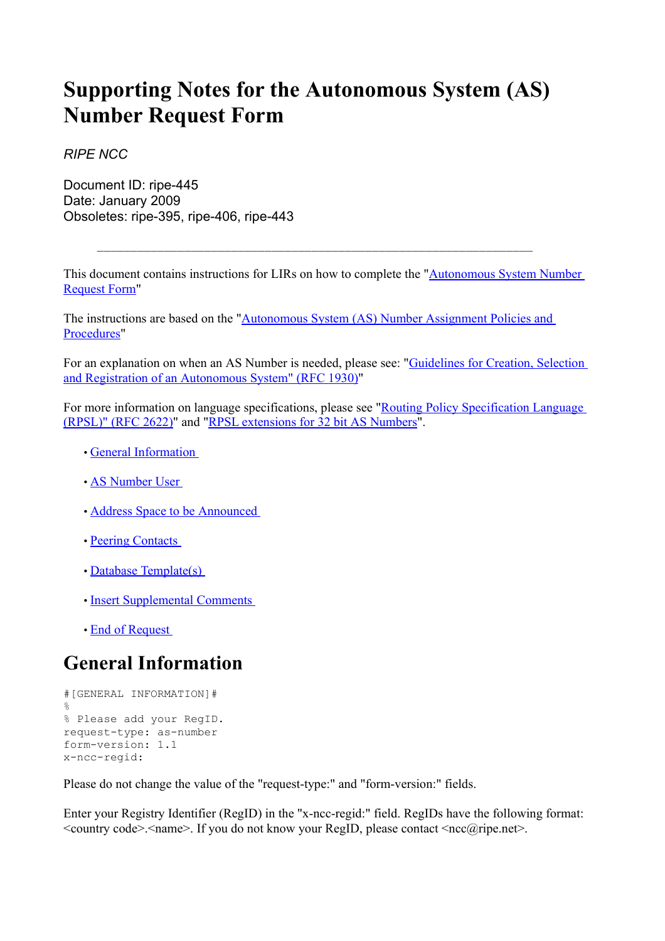# **Supporting Notes for the Autonomous System (AS) Number Request Form**

*RIPE NCC*

Document ID: ripe-445 Date: January 2009 Obsoletes: ripe-395, ripe-406, ripe-443

This document contains instructions for LIRs on how to complete the ["Autonomous](http://www.ripe.net/ripe/docs/asnrequestform.html) System Number [Request](http://www.ripe.net/ripe/docs/asnrequestform.html) Form"

\_\_\_\_\_\_\_\_\_\_\_\_\_\_\_\_\_\_\_\_\_\_\_\_\_\_\_\_\_\_\_\_\_\_\_\_\_\_\_\_\_\_\_\_\_\_\_\_\_\_\_\_\_\_\_\_\_\_\_\_\_\_\_\_\_

The instructions are based on the ["Autonomous](http://www.ripe.net/ripe/docs/asn-assignment.html) System (AS) Number Assignment Policies and [Procedures"](http://www.ripe.net/ripe/docs/asn-assignment.html)

For an explanation on when an AS Number is needed, please see: ["Guidelines](ftp://ftp.ripe.net/rfc/rfc1930.txt) for Creation, Selection and Registration of an [Autonomous](ftp://ftp.ripe.net/rfc/rfc1930.txt) System" (RFC 1930)"

For more information on language specifications, please see "Routing Policy [Specification](ftp://ftp.ripe.net/rfc/rfc2622.txt) Language [\(RPSL\)"](ftp://ftp.ripe.net/rfc/rfc2622.txt) (RFC 2622)" and "RPSL extensions for 32 bit AS Numbers".

- General Information
- AS Number User
- Address Space to be Announced
- Peering Contacts
- Database Template(s)
- Insert Supplemental Comments
- End of Request

### **General Information**

```
#[GENERAL INFORMATION]#
\mathfrak{D}% Please add your RegID.
request-type: as-number
form-version: 1.1
x-ncc-regid:
```
Please do not change the value of the "request-type:" and "form-version:" fields.

Enter your Registry Identifier (RegID) in the "x-ncc-regid:" field. RegIDs have the following format:  $\leq$ country code>. $\leq$ name>. If you do not know your RegID, please contact  $\leq$ ncc@ripe.net>.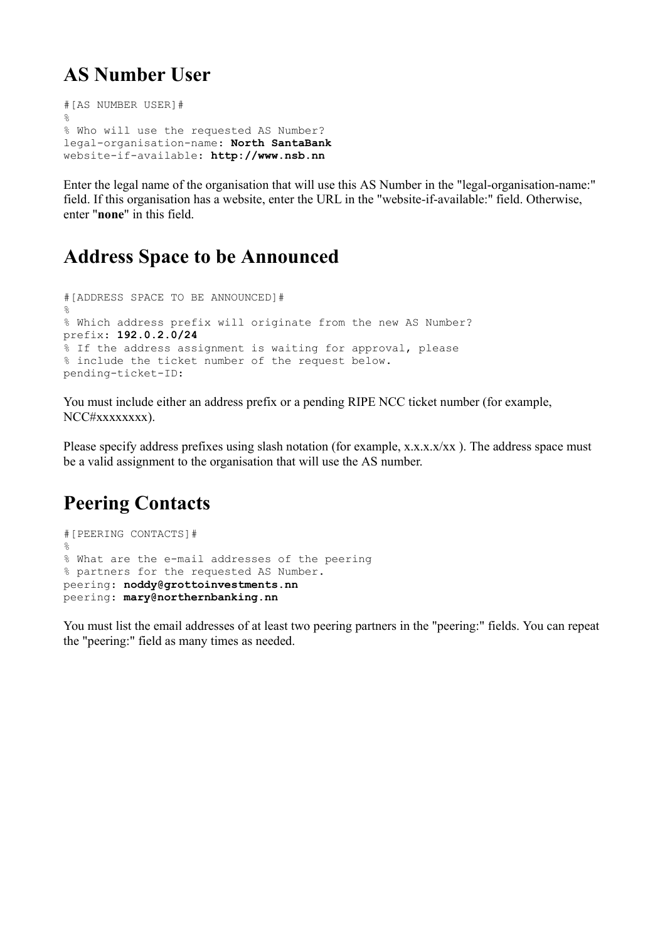### **AS Number User**

```
#[AS NUMBER USER]#
\frac{1}{2}% Who will use the requested AS Number?
legal-organisation-name: North SantaBank
website-if-available: http://www.nsb.nn
```
Enter the legal name of the organisation that will use this AS Number in the "legal-organisation-name:" field. If this organisation has a website, enter the URL in the "website-if-available:" field. Otherwise, enter "**none**" in this field.

#### **Address Space to be Announced**

```
#[ADDRESS SPACE TO BE ANNOUNCED]#
\approx% Which address prefix will originate from the new AS Number?
prefix: 192.0.2.0/24
% If the address assignment is waiting for approval, please
% include the ticket number of the request below.
pending-ticket-ID:
```
You must include either an address prefix or a pending RIPE NCC ticket number (for example, NCC#xxxxxxxx).

Please specify address prefixes using slash notation (for example, x.x.x.x/xx). The address space must be a valid assignment to the organisation that will use the AS number.

## **Peering Contacts**

```
#[PEERING CONTACTS]#
\approx% What are the e-mail addresses of the peering
% partners for the requested AS Number.
peering: noddy@grottoinvestments.nn
peering: mary@northernbanking.nn
```
You must list the email addresses of at least two peering partners in the "peering:" fields. You can repeat the "peering:" field as many times as needed.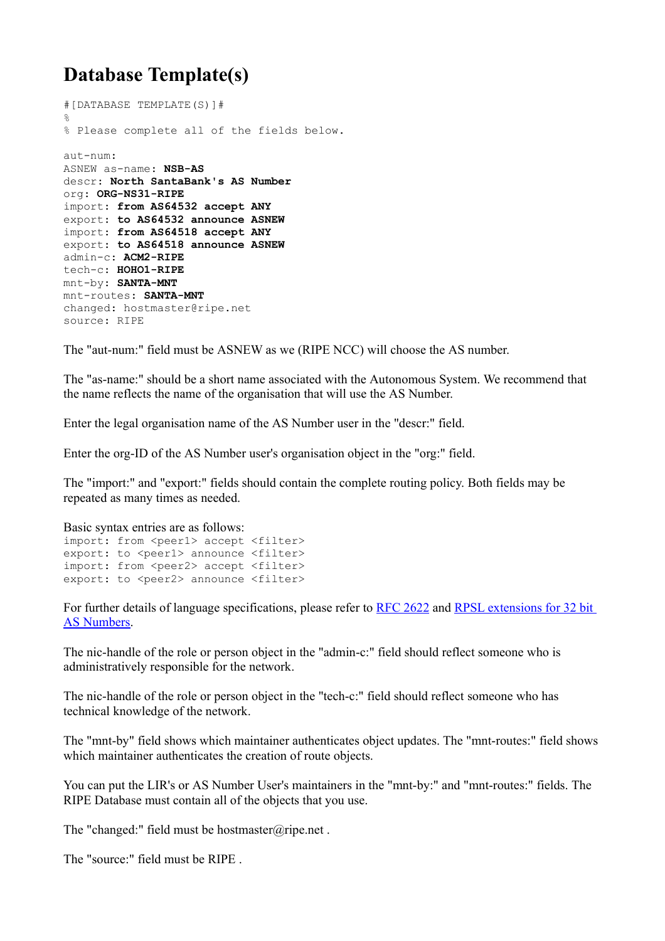## **Database Template(s)**

```
#[DATABASE TEMPLATE(S)]#
%
% Please complete all of the fields below.
aut-num:
ASNEW as-name: NSB-AS
descr: North SantaBank's AS Number
org: ORG-NS31-RIPE
import: from AS64532 accept ANY
export: to AS64532 announce ASNEW
import: from AS64518 accept ANY
export: to AS64518 announce ASNEW
admin-c: ACM2-RIPE
tech-c: HOHO1-RIPE
mnt-by: SANTA-MNT
mnt-routes: SANTA-MNT
changed: hostmaster@ripe.net
source: RIPE
```
The "aut-num:" field must be ASNEW as we (RIPE NCC) will choose the AS number.

The "as-name:" should be a short name associated with the Autonomous System. We recommend that the name reflects the name of the organisation that will use the AS Number.

Enter the legal organisation name of the AS Number user in the "descr:" field.

Enter the org-ID of the AS Number user's organisation object in the "org:" field.

The "import:" and "export:" fields should contain the complete routing policy. Both fields may be repeated as many times as needed.

```
Basic syntax entries are as follows:
import: from <peer1> accept <filter>
export: to <peer1> announce <filter>
import: from <peer2> accept <filter>
export: to <peer2> announce <filter>
```
For further details of language specifications, please refer to RFC [2622](ftp://ftp.ripe.net/rfc/rfc2622.txt) and RPSL [extensions](http://tools.ietf.org/html/draft-uijterwaal-rpsl-4byteas-ext-03) for 32 bit AS [Numbers.](http://tools.ietf.org/html/draft-uijterwaal-rpsl-4byteas-ext-03)

The nic-handle of the role or person object in the "admin-c:" field should reflect someone who is administratively responsible for the network.

The nic-handle of the role or person object in the "tech-c:" field should reflect someone who has technical knowledge of the network.

The "mnt-by" field shows which maintainer authenticates object updates. The "mnt-routes:" field shows which maintainer authenticates the creation of route objects.

You can put the LIR's or AS Number User's maintainers in the "mnt-by:" and "mnt-routes:" fields. The RIPE Database must contain all of the objects that you use.

The "changed:" field must be hostmaster@ripe.net.

The "source:" field must be RIPE .